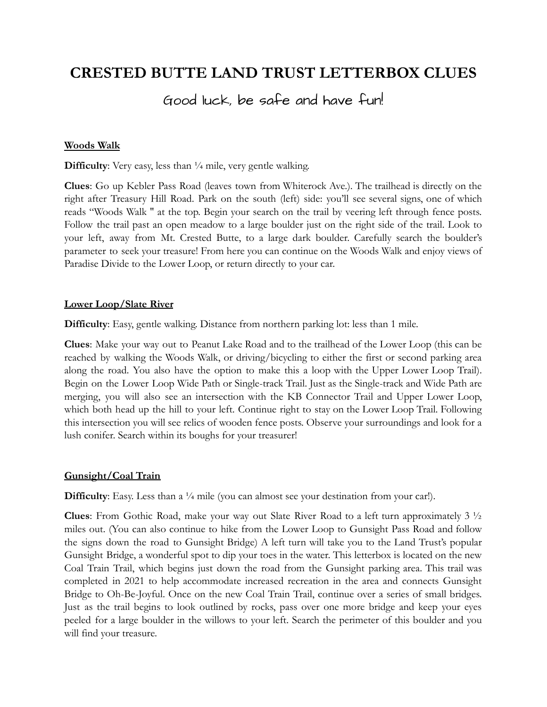## **CRESTED BUTTE LAND TRUST LETTERBOX CLUES**

### Good luck, be safe and have fun!

#### **Woods Walk**

**Difficulty**: Very easy, less than  $\frac{1}{4}$  mile, very gentle walking.

**Clues**: Go up Kebler Pass Road (leaves town from Whiterock Ave.). The trailhead is directly on the right after Treasury Hill Road. Park on the south (left) side: you'll see several signs, one of which reads "Woods Walk '' at the top. Begin your search on the trail by veering left through fence posts. Follow the trail past an open meadow to a large boulder just on the right side of the trail. Look to your left, away from Mt. Crested Butte, to a large dark boulder. Carefully search the boulder's parameter to seek your treasure! From here you can continue on the Woods Walk and enjoy views of Paradise Divide to the Lower Loop, or return directly to your car.

#### **Lower Loop/Slate River**

**Difficulty**: Easy, gentle walking. Distance from northern parking lot: less than 1 mile.

**Clues**: Make your way out to Peanut Lake Road and to the trailhead of the Lower Loop (this can be reached by walking the Woods Walk, or driving/bicycling to either the first or second parking area along the road. You also have the option to make this a loop with the Upper Lower Loop Trail). Begin on the Lower Loop Wide Path or Single-track Trail. Just as the Single-track and Wide Path are merging, you will also see an intersection with the KB Connector Trail and Upper Lower Loop, which both head up the hill to your left. Continue right to stay on the Lower Loop Trail. Following this intersection you will see relics of wooden fence posts. Observe your surroundings and look for a lush conifer. Search within its boughs for your treasurer!

#### **Gunsight/Coal Train**

**Difficulty**: Easy. Less than a <sup>1</sup>/<sub>4</sub> mile (you can almost see your destination from your car!).

**Clues**: From Gothic Road, make your way out Slate River Road to a left turn approximately 3 ½ miles out. (You can also continue to hike from the Lower Loop to Gunsight Pass Road and follow the signs down the road to Gunsight Bridge) A left turn will take you to the Land Trust's popular Gunsight Bridge, a wonderful spot to dip your toes in the water. This letterbox is located on the new Coal Train Trail, which begins just down the road from the Gunsight parking area. This trail was completed in 2021 to help accommodate increased recreation in the area and connects Gunsight Bridge to Oh-Be-Joyful. Once on the new Coal Train Trail, continue over a series of small bridges. Just as the trail begins to look outlined by rocks, pass over one more bridge and keep your eyes peeled for a large boulder in the willows to your left. Search the perimeter of this boulder and you will find your treasure.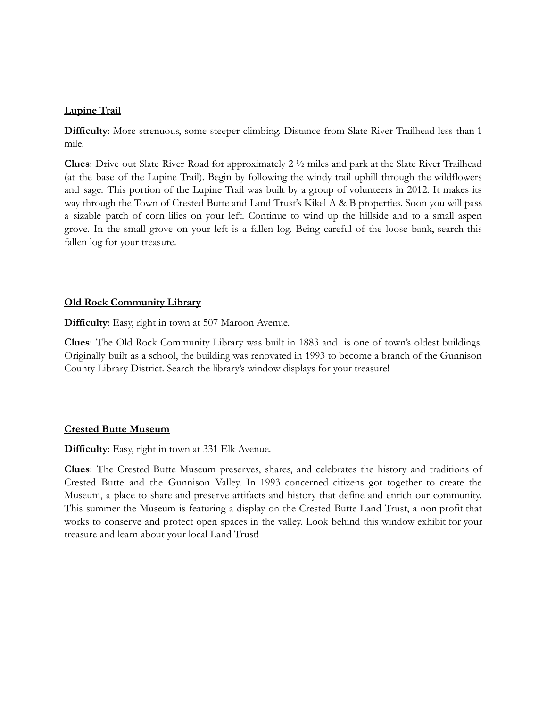#### **Lupine Trail**

**Difficulty**: More strenuous, some steeper climbing. Distance from Slate River Trailhead less than 1 mile.

**Clues**: Drive out Slate River Road for approximately 2 ½ miles and park at the Slate River Trailhead (at the base of the Lupine Trail). Begin by following the windy trail uphill through the wildflowers and sage. This portion of the Lupine Trail was built by a group of volunteers in 2012. It makes its way through the Town of Crested Butte and Land Trust's Kikel A & B properties. Soon you will pass a sizable patch of corn lilies on your left. Continue to wind up the hillside and to a small aspen grove. In the small grove on your left is a fallen log. Being careful of the loose bank, search this fallen log for your treasure.

### **Old Rock Community Library**

**Difficulty**: Easy, right in town at 507 Maroon Avenue.

**Clues**: The Old Rock Community Library was built in 1883 and is one of town's oldest buildings. Originally built as a school, the building was renovated in 1993 to become a branch of the Gunnison County Library District. Search the library's window displays for your treasure!

#### **Crested Butte Museum**

**Difficulty**: Easy, right in town at 331 Elk Avenue.

**Clues**: The Crested Butte Museum preserves, shares, and celebrates the history and traditions of Crested Butte and the Gunnison Valley. In 1993 concerned citizens got together to create the Museum, a place to share and preserve artifacts and history that define and enrich our community. This summer the Museum is featuring a display on the Crested Butte Land Trust, a non profit that works to conserve and protect open spaces in the valley. Look behind this window exhibit for your treasure and learn about your local Land Trust!